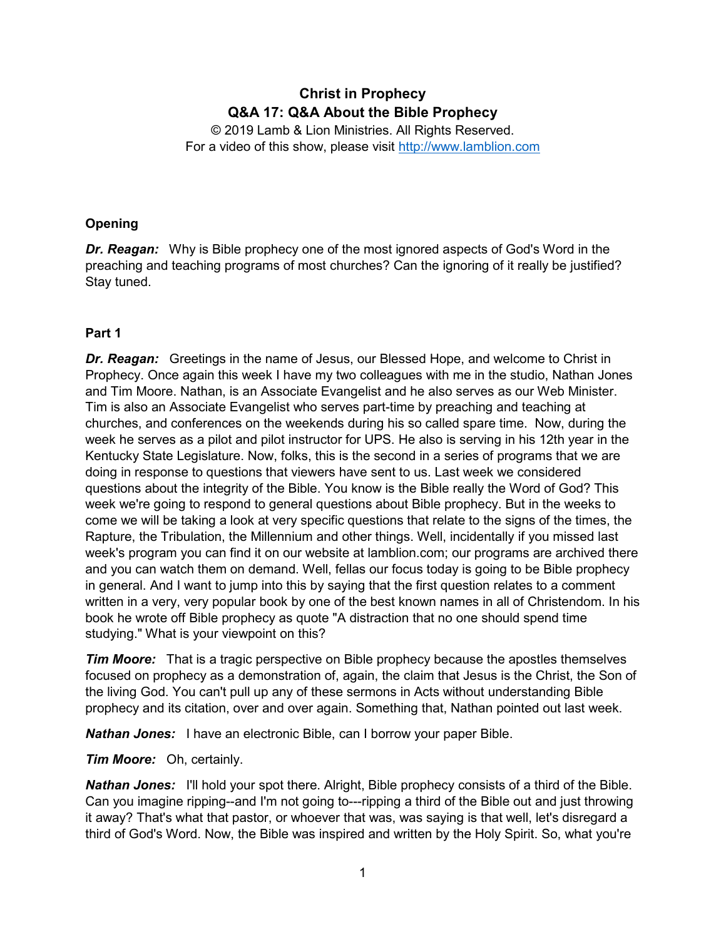# **Christ in Prophecy Q&A 17: Q&A About the Bible Prophecy**

© 2019 Lamb & Lion Ministries. All Rights Reserved. For a video of this show, please visit [http://www.lamblion.com](http://www.lamblion.com/)

# **Opening**

*Dr. Reagan:* Why is Bible prophecy one of the most ignored aspects of God's Word in the preaching and teaching programs of most churches? Can the ignoring of it really be justified? Stay tuned.

# **Part 1**

*Dr. Reagan:* Greetings in the name of Jesus, our Blessed Hope, and welcome to Christ in Prophecy. Once again this week I have my two colleagues with me in the studio, Nathan Jones and Tim Moore. Nathan, is an Associate Evangelist and he also serves as our Web Minister. Tim is also an Associate Evangelist who serves part-time by preaching and teaching at churches, and conferences on the weekends during his so called spare time. Now, during the week he serves as a pilot and pilot instructor for UPS. He also is serving in his 12th year in the Kentucky State Legislature. Now, folks, this is the second in a series of programs that we are doing in response to questions that viewers have sent to us. Last week we considered questions about the integrity of the Bible. You know is the Bible really the Word of God? This week we're going to respond to general questions about Bible prophecy. But in the weeks to come we will be taking a look at very specific questions that relate to the signs of the times, the Rapture, the Tribulation, the Millennium and other things. Well, incidentally if you missed last week's program you can find it on our website at lamblion.com; our programs are archived there and you can watch them on demand. Well, fellas our focus today is going to be Bible prophecy in general. And I want to jump into this by saying that the first question relates to a comment written in a very, very popular book by one of the best known names in all of Christendom. In his book he wrote off Bible prophecy as quote "A distraction that no one should spend time studying." What is your viewpoint on this?

*Tim Moore:* That is a tragic perspective on Bible prophecy because the apostles themselves focused on prophecy as a demonstration of, again, the claim that Jesus is the Christ, the Son of the living God. You can't pull up any of these sermons in Acts without understanding Bible prophecy and its citation, over and over again. Something that, Nathan pointed out last week.

*Nathan Jones:* I have an electronic Bible, can I borrow your paper Bible.

*Tim Moore:* Oh, certainly.

*Nathan Jones:* I'll hold your spot there. Alright, Bible prophecy consists of a third of the Bible. Can you imagine ripping--and I'm not going to---ripping a third of the Bible out and just throwing it away? That's what that pastor, or whoever that was, was saying is that well, let's disregard a third of God's Word. Now, the Bible was inspired and written by the Holy Spirit. So, what you're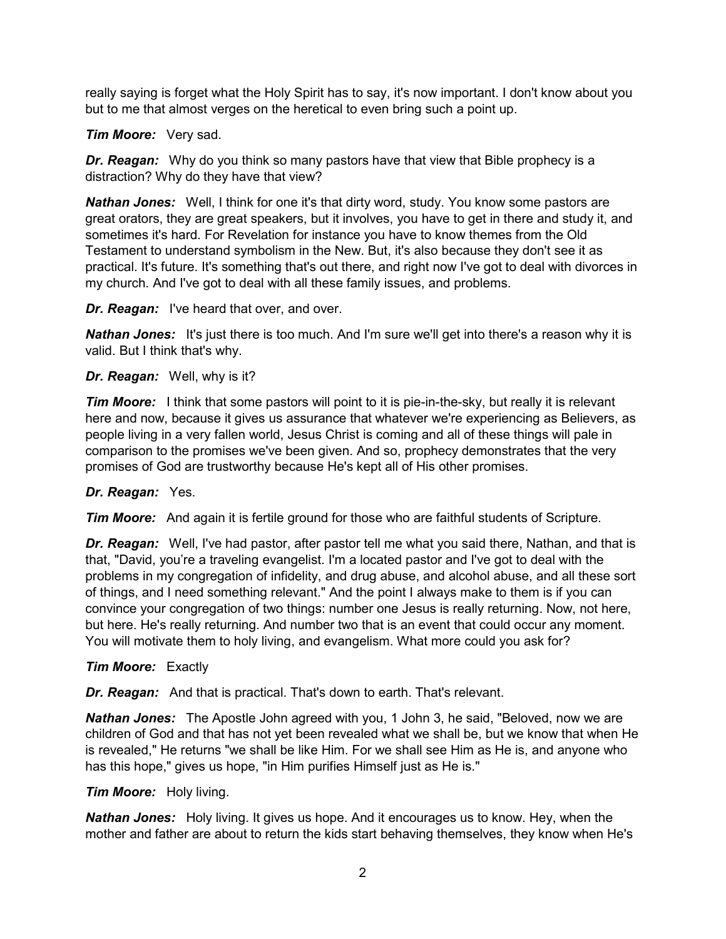really saying is forget what the Holy Spirit has to say, it's now important. I don't know about you but to me that almost verges on the heretical to even bring such a point up.

## *Tim Moore:* Very sad.

*Dr. Reagan:* Why do you think so many pastors have that view that Bible prophecy is a distraction? Why do they have that view?

*Nathan Jones:* Well, I think for one it's that dirty word, study. You know some pastors are great orators, they are great speakers, but it involves, you have to get in there and study it, and sometimes it's hard. For Revelation for instance you have to know themes from the Old Testament to understand symbolism in the New. But, it's also because they don't see it as practical. It's future. It's something that's out there, and right now I've got to deal with divorces in my church. And I've got to deal with all these family issues, and problems.

# *Dr. Reagan:* I've heard that over, and over.

*Nathan Jones:* It's just there is too much. And I'm sure we'll get into there's a reason why it is valid. But I think that's why.

# *Dr. Reagan:* Well, why is it?

*Tim Moore:* I think that some pastors will point to it is pie-in-the-sky, but really it is relevant here and now, because it gives us assurance that whatever we're experiencing as Believers, as people living in a very fallen world, Jesus Christ is coming and all of these things will pale in comparison to the promises we've been given. And so, prophecy demonstrates that the very promises of God are trustworthy because He's kept all of His other promises.

# *Dr. Reagan:* Yes.

*Tim Moore:* And again it is fertile ground for those who are faithful students of Scripture.

*Dr. Reagan:* Well, I've had pastor, after pastor tell me what you said there, Nathan, and that is that, "David, you're a traveling evangelist. I'm a located pastor and I've got to deal with the problems in my congregation of infidelity, and drug abuse, and alcohol abuse, and all these sort of things, and I need something relevant." And the point I always make to them is if you can convince your congregation of two things: number one Jesus is really returning. Now, not here, but here. He's really returning. And number two that is an event that could occur any moment. You will motivate them to holy living, and evangelism. What more could you ask for?

### *Tim Moore:* Exactly

*Dr. Reagan:* And that is practical. That's down to earth. That's relevant.

*Nathan Jones:* The Apostle John agreed with you, 1 John 3, he said, "Beloved, now we are children of God and that has not yet been revealed what we shall be, but we know that when He is revealed," He returns "we shall be like Him. For we shall see Him as He is, and anyone who has this hope," gives us hope, "in Him purifies Himself just as He is."

### *Tim Moore:* Holy living.

*Nathan Jones:* Holy living. It gives us hope. And it encourages us to know. Hey, when the mother and father are about to return the kids start behaving themselves, they know when He's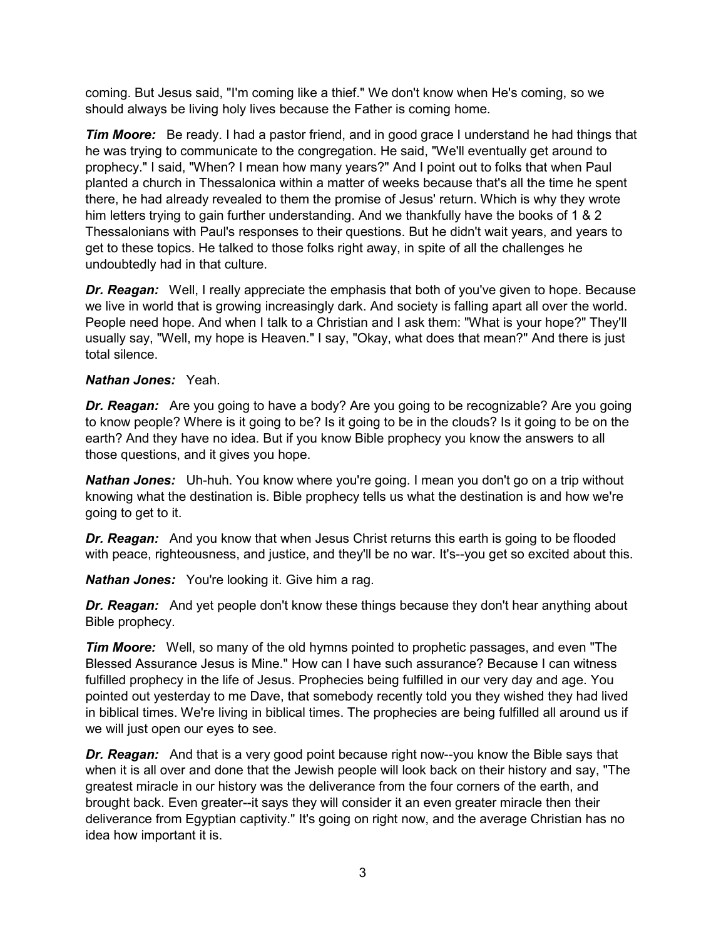coming. But Jesus said, "I'm coming like a thief." We don't know when He's coming, so we should always be living holy lives because the Father is coming home.

**Tim Moore:** Be ready. I had a pastor friend, and in good grace I understand he had things that he was trying to communicate to the congregation. He said, "We'll eventually get around to prophecy." I said, "When? I mean how many years?" And I point out to folks that when Paul planted a church in Thessalonica within a matter of weeks because that's all the time he spent there, he had already revealed to them the promise of Jesus' return. Which is why they wrote him letters trying to gain further understanding. And we thankfully have the books of 1 & 2 Thessalonians with Paul's responses to their questions. But he didn't wait years, and years to get to these topics. He talked to those folks right away, in spite of all the challenges he undoubtedly had in that culture.

*Dr. Reagan:* Well, I really appreciate the emphasis that both of you've given to hope. Because we live in world that is growing increasingly dark. And society is falling apart all over the world. People need hope. And when I talk to a Christian and I ask them: "What is your hope?" They'll usually say, "Well, my hope is Heaven." I say, "Okay, what does that mean?" And there is just total silence.

### *Nathan Jones:* Yeah.

*Dr. Reagan:* Are you going to have a body? Are you going to be recognizable? Are you going to know people? Where is it going to be? Is it going to be in the clouds? Is it going to be on the earth? And they have no idea. But if you know Bible prophecy you know the answers to all those questions, and it gives you hope.

*Nathan Jones:* Uh-huh. You know where you're going. I mean you don't go on a trip without knowing what the destination is. Bible prophecy tells us what the destination is and how we're going to get to it.

*Dr. Reagan:* And you know that when Jesus Christ returns this earth is going to be flooded with peace, righteousness, and justice, and they'll be no war. It's--you get so excited about this.

*Nathan Jones:* You're looking it. Give him a rag.

**Dr. Reagan:** And yet people don't know these things because they don't hear anything about Bible prophecy.

*Tim Moore:* Well, so many of the old hymns pointed to prophetic passages, and even "The Blessed Assurance Jesus is Mine." How can I have such assurance? Because I can witness fulfilled prophecy in the life of Jesus. Prophecies being fulfilled in our very day and age. You pointed out yesterday to me Dave, that somebody recently told you they wished they had lived in biblical times. We're living in biblical times. The prophecies are being fulfilled all around us if we will just open our eyes to see.

*Dr. Reagan:* And that is a very good point because right now--you know the Bible says that when it is all over and done that the Jewish people will look back on their history and say, "The greatest miracle in our history was the deliverance from the four corners of the earth, and brought back. Even greater--it says they will consider it an even greater miracle then their deliverance from Egyptian captivity." It's going on right now, and the average Christian has no idea how important it is.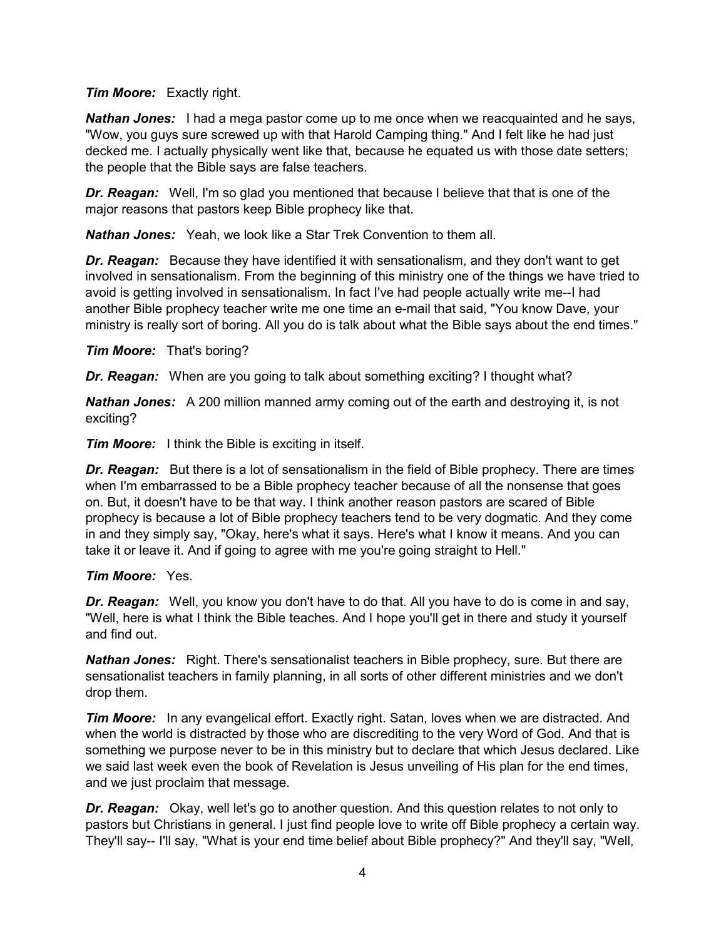#### *Tim Moore:* Exactly right.

*Nathan Jones:* I had a mega pastor come up to me once when we reacquainted and he says, "Wow, you guys sure screwed up with that Harold Camping thing." And I felt like he had just decked me. I actually physically went like that, because he equated us with those date setters; the people that the Bible says are false teachers.

*Dr. Reagan:* Well, I'm so glad you mentioned that because I believe that that is one of the major reasons that pastors keep Bible prophecy like that.

*Nathan Jones:* Yeah, we look like a Star Trek Convention to them all.

**Dr. Reagan:** Because they have identified it with sensationalism, and they don't want to get involved in sensationalism. From the beginning of this ministry one of the things we have tried to avoid is getting involved in sensationalism. In fact I've had people actually write me--I had another Bible prophecy teacher write me one time an e-mail that said, "You know Dave, your ministry is really sort of boring. All you do is talk about what the Bible says about the end times."

*Tim Moore:* That's boring?

*Dr. Reagan:* When are you going to talk about something exciting? I thought what?

*Nathan Jones:* A 200 million manned army coming out of the earth and destroying it, is not exciting?

*Tim Moore:* I think the Bible is exciting in itself.

**Dr. Reagan:** But there is a lot of sensationalism in the field of Bible prophecy. There are times when I'm embarrassed to be a Bible prophecy teacher because of all the nonsense that goes on. But, it doesn't have to be that way. I think another reason pastors are scared of Bible prophecy is because a lot of Bible prophecy teachers tend to be very dogmatic. And they come in and they simply say, "Okay, here's what it says. Here's what I know it means. And you can take it or leave it. And if going to agree with me you're going straight to Hell."

### *Tim Moore:* Yes.

*Dr. Reagan:* Well, you know you don't have to do that. All you have to do is come in and say, "Well, here is what I think the Bible teaches. And I hope you'll get in there and study it yourself and find out.

*Nathan Jones:* Right. There's sensationalist teachers in Bible prophecy, sure. But there are sensationalist teachers in family planning, in all sorts of other different ministries and we don't drop them.

**Tim Moore:** In any evangelical effort. Exactly right. Satan, loves when we are distracted. And when the world is distracted by those who are discrediting to the very Word of God. And that is something we purpose never to be in this ministry but to declare that which Jesus declared. Like we said last week even the book of Revelation is Jesus unveiling of His plan for the end times, and we just proclaim that message.

**Dr. Reagan:** Okay, well let's go to another question. And this question relates to not only to pastors but Christians in general. I just find people love to write off Bible prophecy a certain way. They'll say-- I'll say, "What is your end time belief about Bible prophecy?" And they'll say, "Well,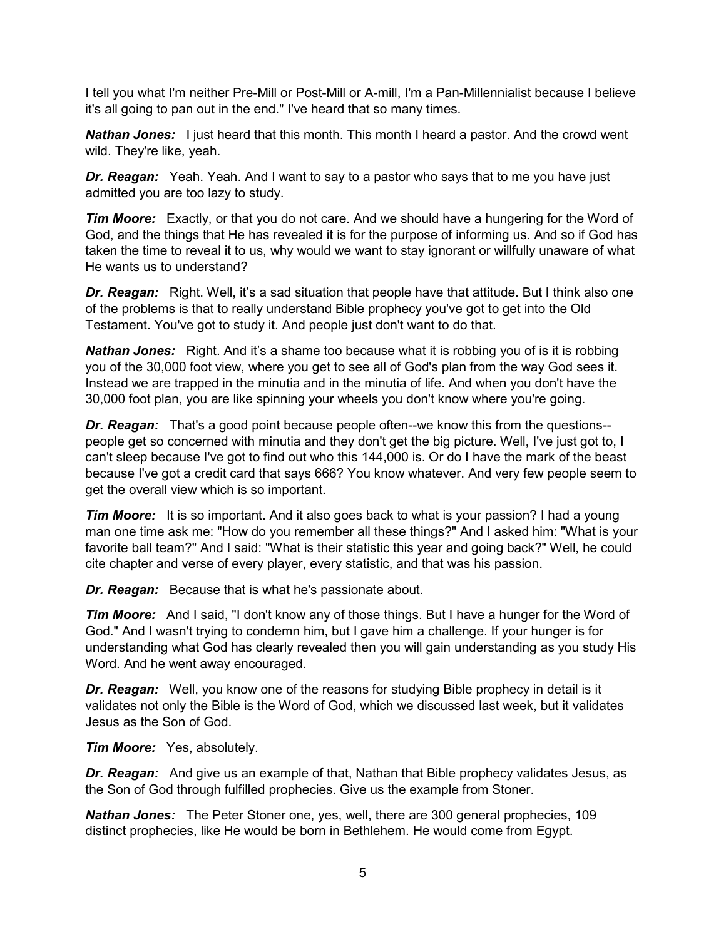I tell you what I'm neither Pre-Mill or Post-Mill or A-mill, I'm a Pan-Millennialist because I believe it's all going to pan out in the end." I've heard that so many times.

**Nathan Jones:** I just heard that this month. This month I heard a pastor. And the crowd went wild. They're like, yeah.

*Dr. Reagan:* Yeah. Yeah. And I want to say to a pastor who says that to me you have just admitted you are too lazy to study.

*Tim Moore:* Exactly, or that you do not care. And we should have a hungering for the Word of God, and the things that He has revealed it is for the purpose of informing us. And so if God has taken the time to reveal it to us, why would we want to stay ignorant or willfully unaware of what He wants us to understand?

**Dr. Reagan:** Right. Well, it's a sad situation that people have that attitude. But I think also one of the problems is that to really understand Bible prophecy you've got to get into the Old Testament. You've got to study it. And people just don't want to do that.

*Nathan Jones:* Right. And it's a shame too because what it is robbing you of is it is robbing you of the 30,000 foot view, where you get to see all of God's plan from the way God sees it. Instead we are trapped in the minutia and in the minutia of life. And when you don't have the 30,000 foot plan, you are like spinning your wheels you don't know where you're going.

*Dr. Reagan:* That's a good point because people often--we know this from the questions- people get so concerned with minutia and they don't get the big picture. Well, I've just got to, I can't sleep because I've got to find out who this 144,000 is. Or do I have the mark of the beast because I've got a credit card that says 666? You know whatever. And very few people seem to get the overall view which is so important.

*Tim Moore:* It is so important. And it also goes back to what is your passion? I had a young man one time ask me: "How do you remember all these things?" And I asked him: "What is your favorite ball team?" And I said: "What is their statistic this year and going back?" Well, he could cite chapter and verse of every player, every statistic, and that was his passion.

*Dr. Reagan:* Because that is what he's passionate about.

*Tim Moore:* And I said, "I don't know any of those things. But I have a hunger for the Word of God." And I wasn't trying to condemn him, but I gave him a challenge. If your hunger is for understanding what God has clearly revealed then you will gain understanding as you study His Word. And he went away encouraged.

*Dr. Reagan:* Well, you know one of the reasons for studying Bible prophecy in detail is it validates not only the Bible is the Word of God, which we discussed last week, but it validates Jesus as the Son of God.

*Tim Moore:* Yes, absolutely.

*Dr. Reagan:* And give us an example of that, Nathan that Bible prophecy validates Jesus, as the Son of God through fulfilled prophecies. Give us the example from Stoner.

*Nathan Jones:* The Peter Stoner one, yes, well, there are 300 general prophecies, 109 distinct prophecies, like He would be born in Bethlehem. He would come from Egypt.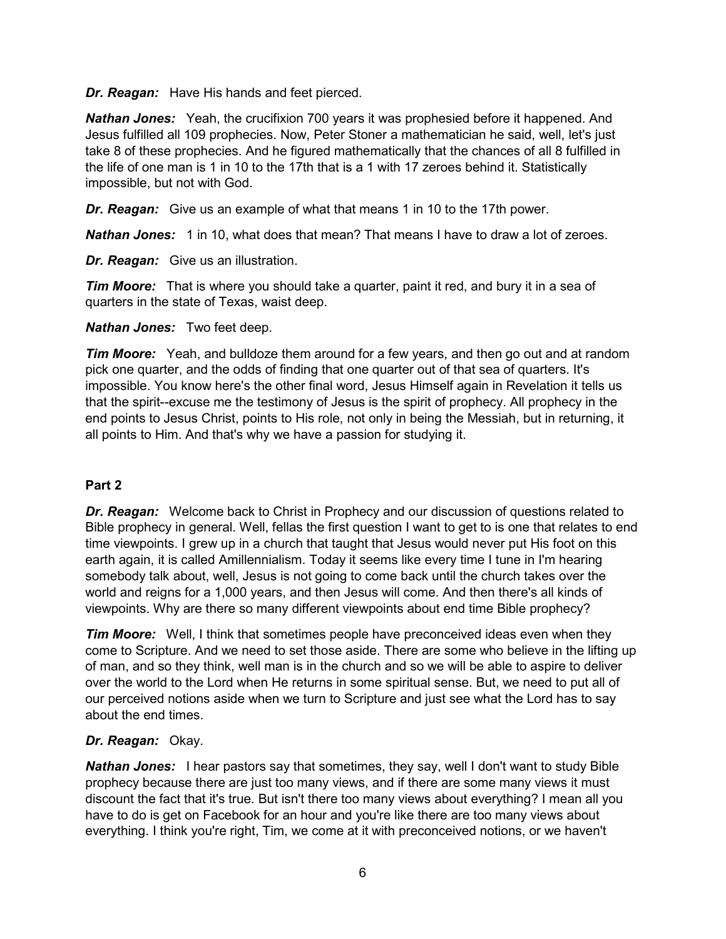*Dr. Reagan:* Have His hands and feet pierced.

*Nathan Jones:* Yeah, the crucifixion 700 years it was prophesied before it happened. And Jesus fulfilled all 109 prophecies. Now, Peter Stoner a mathematician he said, well, let's just take 8 of these prophecies. And he figured mathematically that the chances of all 8 fulfilled in the life of one man is 1 in 10 to the 17th that is a 1 with 17 zeroes behind it. Statistically impossible, but not with God.

*Dr. Reagan:* Give us an example of what that means 1 in 10 to the 17th power.

*Nathan Jones:* 1 in 10, what does that mean? That means I have to draw a lot of zeroes.

*Dr. Reagan:* Give us an illustration.

**Tim Moore:** That is where you should take a quarter, paint it red, and bury it in a sea of quarters in the state of Texas, waist deep.

*Nathan Jones:* Two feet deep.

*Tim Moore:* Yeah, and bulldoze them around for a few years, and then go out and at random pick one quarter, and the odds of finding that one quarter out of that sea of quarters. It's impossible. You know here's the other final word, Jesus Himself again in Revelation it tells us that the spirit--excuse me the testimony of Jesus is the spirit of prophecy. All prophecy in the end points to Jesus Christ, points to His role, not only in being the Messiah, but in returning, it all points to Him. And that's why we have a passion for studying it.

### **Part 2**

*Dr. Reagan:* Welcome back to Christ in Prophecy and our discussion of questions related to Bible prophecy in general. Well, fellas the first question I want to get to is one that relates to end time viewpoints. I grew up in a church that taught that Jesus would never put His foot on this earth again, it is called Amillennialism. Today it seems like every time I tune in I'm hearing somebody talk about, well, Jesus is not going to come back until the church takes over the world and reigns for a 1,000 years, and then Jesus will come. And then there's all kinds of viewpoints. Why are there so many different viewpoints about end time Bible prophecy?

*Tim Moore:* Well, I think that sometimes people have preconceived ideas even when they come to Scripture. And we need to set those aside. There are some who believe in the lifting up of man, and so they think, well man is in the church and so we will be able to aspire to deliver over the world to the Lord when He returns in some spiritual sense. But, we need to put all of our perceived notions aside when we turn to Scripture and just see what the Lord has to say about the end times.

### *Dr. Reagan:* Okay.

*Nathan Jones:* I hear pastors say that sometimes, they say, well I don't want to study Bible prophecy because there are just too many views, and if there are some many views it must discount the fact that it's true. But isn't there too many views about everything? I mean all you have to do is get on Facebook for an hour and you're like there are too many views about everything. I think you're right, Tim, we come at it with preconceived notions, or we haven't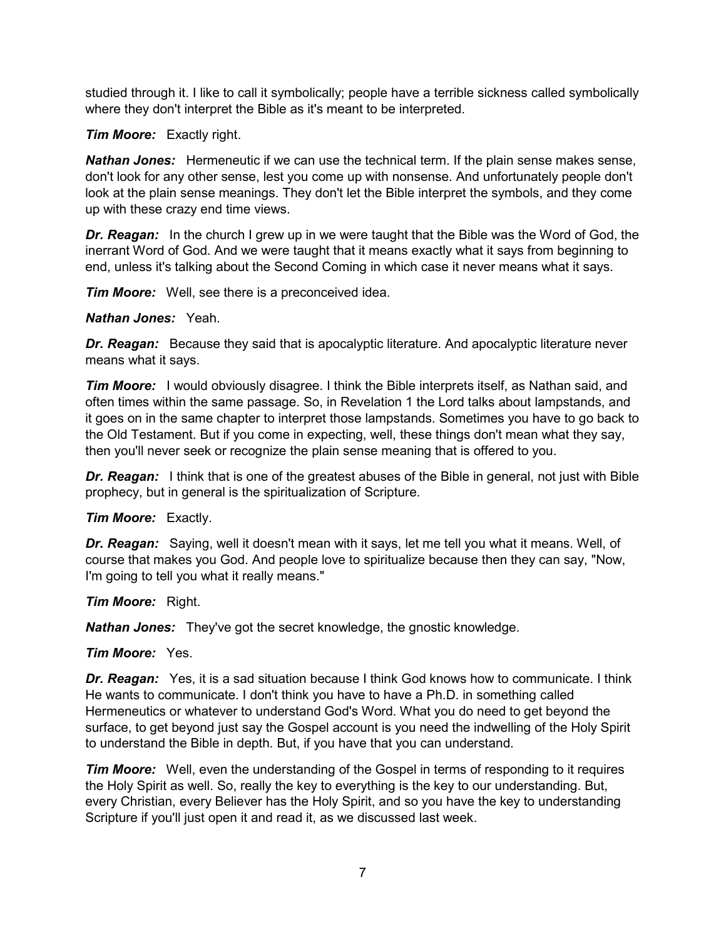studied through it. I like to call it symbolically; people have a terrible sickness called symbolically where they don't interpret the Bible as it's meant to be interpreted.

#### *Tim Moore:* Exactly right.

*Nathan Jones:* Hermeneutic if we can use the technical term. If the plain sense makes sense, don't look for any other sense, lest you come up with nonsense. And unfortunately people don't look at the plain sense meanings. They don't let the Bible interpret the symbols, and they come up with these crazy end time views.

**Dr. Reagan:** In the church I grew up in we were taught that the Bible was the Word of God, the inerrant Word of God. And we were taught that it means exactly what it says from beginning to end, unless it's talking about the Second Coming in which case it never means what it says.

*Tim Moore:* Well, see there is a preconceived idea.

#### *Nathan Jones:* Yeah.

*Dr. Reagan:* Because they said that is apocalyptic literature. And apocalyptic literature never means what it says.

*Tim Moore:* I would obviously disagree. I think the Bible interprets itself, as Nathan said, and often times within the same passage. So, in Revelation 1 the Lord talks about lampstands, and it goes on in the same chapter to interpret those lampstands. Sometimes you have to go back to the Old Testament. But if you come in expecting, well, these things don't mean what they say, then you'll never seek or recognize the plain sense meaning that is offered to you.

*Dr. Reagan:* I think that is one of the greatest abuses of the Bible in general, not just with Bible prophecy, but in general is the spiritualization of Scripture.

#### *Tim Moore:* Exactly.

*Dr. Reagan:* Saying, well it doesn't mean with it says, let me tell you what it means. Well, of course that makes you God. And people love to spiritualize because then they can say, "Now, I'm going to tell you what it really means."

### *Tim Moore:* Right.

*Nathan Jones:* They've got the secret knowledge, the gnostic knowledge.

### *Tim Moore:* Yes.

**Dr. Reagan:** Yes, it is a sad situation because I think God knows how to communicate. I think He wants to communicate. I don't think you have to have a Ph.D. in something called Hermeneutics or whatever to understand God's Word. What you do need to get beyond the surface, to get beyond just say the Gospel account is you need the indwelling of the Holy Spirit to understand the Bible in depth. But, if you have that you can understand.

*Tim Moore:* Well, even the understanding of the Gospel in terms of responding to it requires the Holy Spirit as well. So, really the key to everything is the key to our understanding. But, every Christian, every Believer has the Holy Spirit, and so you have the key to understanding Scripture if you'll just open it and read it, as we discussed last week.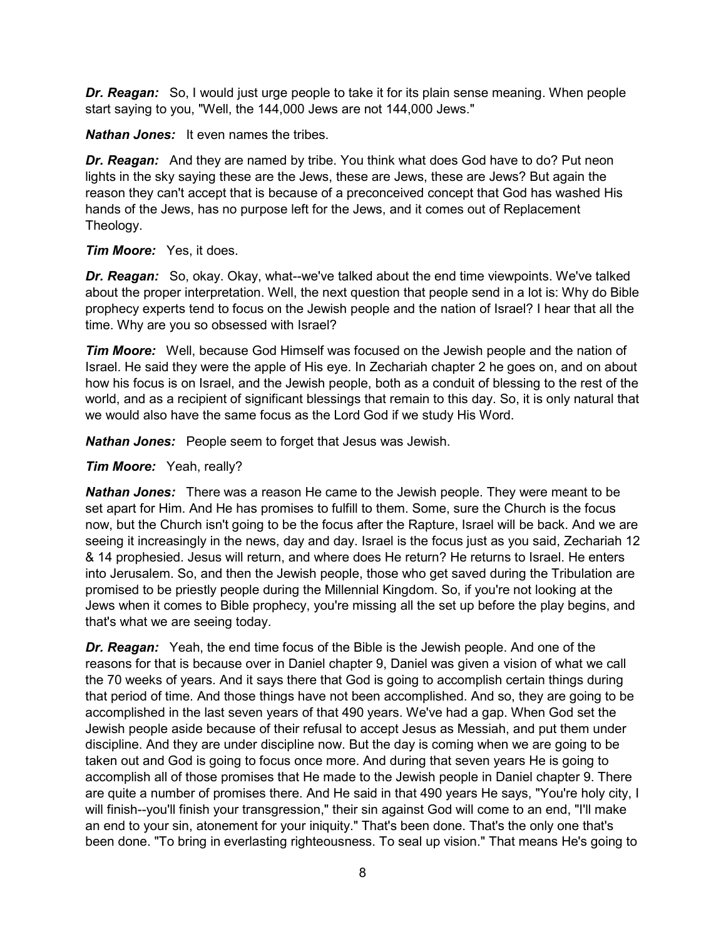*Dr. Reagan:* So, I would just urge people to take it for its plain sense meaning. When people start saying to you, "Well, the 144,000 Jews are not 144,000 Jews."

*Nathan Jones:* It even names the tribes.

*Dr. Reagan:* And they are named by tribe. You think what does God have to do? Put neon lights in the sky saying these are the Jews, these are Jews, these are Jews? But again the reason they can't accept that is because of a preconceived concept that God has washed His hands of the Jews, has no purpose left for the Jews, and it comes out of Replacement Theology.

### *Tim Moore:* Yes, it does.

*Dr. Reagan:* So, okay. Okay, what--we've talked about the end time viewpoints. We've talked about the proper interpretation. Well, the next question that people send in a lot is: Why do Bible prophecy experts tend to focus on the Jewish people and the nation of Israel? I hear that all the time. Why are you so obsessed with Israel?

*Tim Moore:* Well, because God Himself was focused on the Jewish people and the nation of Israel. He said they were the apple of His eye. In Zechariah chapter 2 he goes on, and on about how his focus is on Israel, and the Jewish people, both as a conduit of blessing to the rest of the world, and as a recipient of significant blessings that remain to this day. So, it is only natural that we would also have the same focus as the Lord God if we study His Word.

*Nathan Jones:* People seem to forget that Jesus was Jewish.

#### *Tim Moore:* Yeah, really?

*Nathan Jones:* There was a reason He came to the Jewish people. They were meant to be set apart for Him. And He has promises to fulfill to them. Some, sure the Church is the focus now, but the Church isn't going to be the focus after the Rapture, Israel will be back. And we are seeing it increasingly in the news, day and day. Israel is the focus just as you said, Zechariah 12 & 14 prophesied. Jesus will return, and where does He return? He returns to Israel. He enters into Jerusalem. So, and then the Jewish people, those who get saved during the Tribulation are promised to be priestly people during the Millennial Kingdom. So, if you're not looking at the Jews when it comes to Bible prophecy, you're missing all the set up before the play begins, and that's what we are seeing today.

*Dr. Reagan:* Yeah, the end time focus of the Bible is the Jewish people. And one of the reasons for that is because over in Daniel chapter 9, Daniel was given a vision of what we call the 70 weeks of years. And it says there that God is going to accomplish certain things during that period of time. And those things have not been accomplished. And so, they are going to be accomplished in the last seven years of that 490 years. We've had a gap. When God set the Jewish people aside because of their refusal to accept Jesus as Messiah, and put them under discipline. And they are under discipline now. But the day is coming when we are going to be taken out and God is going to focus once more. And during that seven years He is going to accomplish all of those promises that He made to the Jewish people in Daniel chapter 9. There are quite a number of promises there. And He said in that 490 years He says, "You're holy city, I will finish--you'll finish your transgression," their sin against God will come to an end, "I'll make an end to your sin, atonement for your iniquity." That's been done. That's the only one that's been done. "To bring in everlasting righteousness. To seal up vision." That means He's going to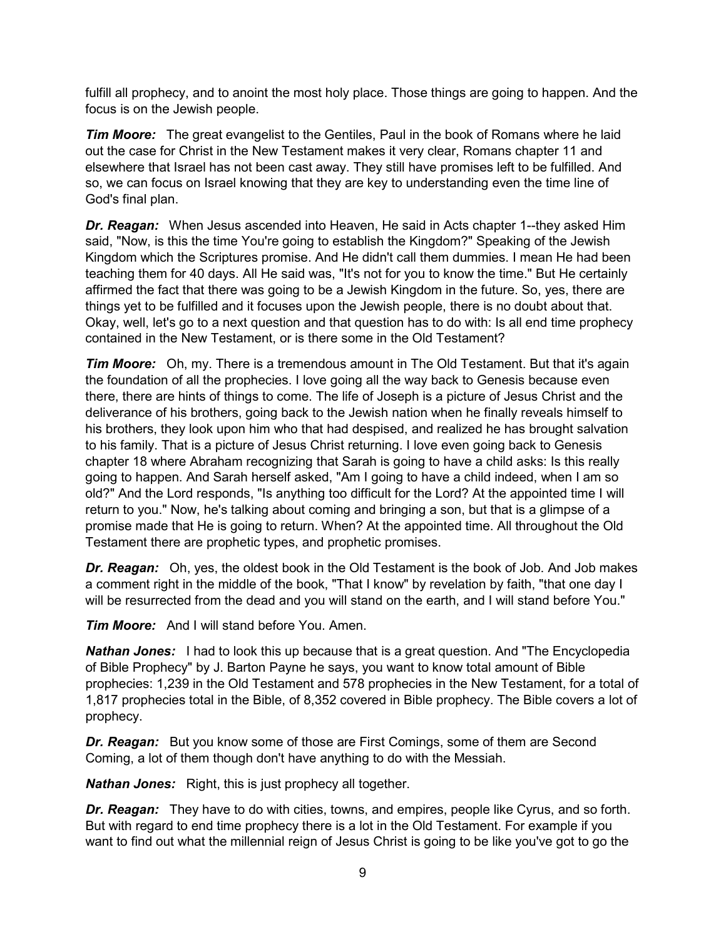fulfill all prophecy, and to anoint the most holy place. Those things are going to happen. And the focus is on the Jewish people.

*Tim Moore:* The great evangelist to the Gentiles, Paul in the book of Romans where he laid out the case for Christ in the New Testament makes it very clear, Romans chapter 11 and elsewhere that Israel has not been cast away. They still have promises left to be fulfilled. And so, we can focus on Israel knowing that they are key to understanding even the time line of God's final plan.

*Dr. Reagan:* When Jesus ascended into Heaven, He said in Acts chapter 1--they asked Him said, "Now, is this the time You're going to establish the Kingdom?" Speaking of the Jewish Kingdom which the Scriptures promise. And He didn't call them dummies. I mean He had been teaching them for 40 days. All He said was, "It's not for you to know the time." But He certainly affirmed the fact that there was going to be a Jewish Kingdom in the future. So, yes, there are things yet to be fulfilled and it focuses upon the Jewish people, there is no doubt about that. Okay, well, let's go to a next question and that question has to do with: Is all end time prophecy contained in the New Testament, or is there some in the Old Testament?

*Tim Moore:* Oh, my. There is a tremendous amount in The Old Testament. But that it's again the foundation of all the prophecies. I love going all the way back to Genesis because even there, there are hints of things to come. The life of Joseph is a picture of Jesus Christ and the deliverance of his brothers, going back to the Jewish nation when he finally reveals himself to his brothers, they look upon him who that had despised, and realized he has brought salvation to his family. That is a picture of Jesus Christ returning. I love even going back to Genesis chapter 18 where Abraham recognizing that Sarah is going to have a child asks: Is this really going to happen. And Sarah herself asked, "Am I going to have a child indeed, when I am so old?" And the Lord responds, "Is anything too difficult for the Lord? At the appointed time I will return to you." Now, he's talking about coming and bringing a son, but that is a glimpse of a promise made that He is going to return. When? At the appointed time. All throughout the Old Testament there are prophetic types, and prophetic promises.

*Dr. Reagan:* Oh, yes, the oldest book in the Old Testament is the book of Job. And Job makes a comment right in the middle of the book, "That I know" by revelation by faith, "that one day I will be resurrected from the dead and you will stand on the earth, and I will stand before You."

*Tim Moore:* And I will stand before You. Amen.

*Nathan Jones:* I had to look this up because that is a great question. And "The Encyclopedia of Bible Prophecy" by J. Barton Payne he says, you want to know total amount of Bible prophecies: 1,239 in the Old Testament and 578 prophecies in the New Testament, for a total of 1,817 prophecies total in the Bible, of 8,352 covered in Bible prophecy. The Bible covers a lot of prophecy.

*Dr. Reagan:* But you know some of those are First Comings, some of them are Second Coming, a lot of them though don't have anything to do with the Messiah.

*Nathan Jones:* Right, this is just prophecy all together.

*Dr. Reagan:* They have to do with cities, towns, and empires, people like Cyrus, and so forth. But with regard to end time prophecy there is a lot in the Old Testament. For example if you want to find out what the millennial reign of Jesus Christ is going to be like you've got to go the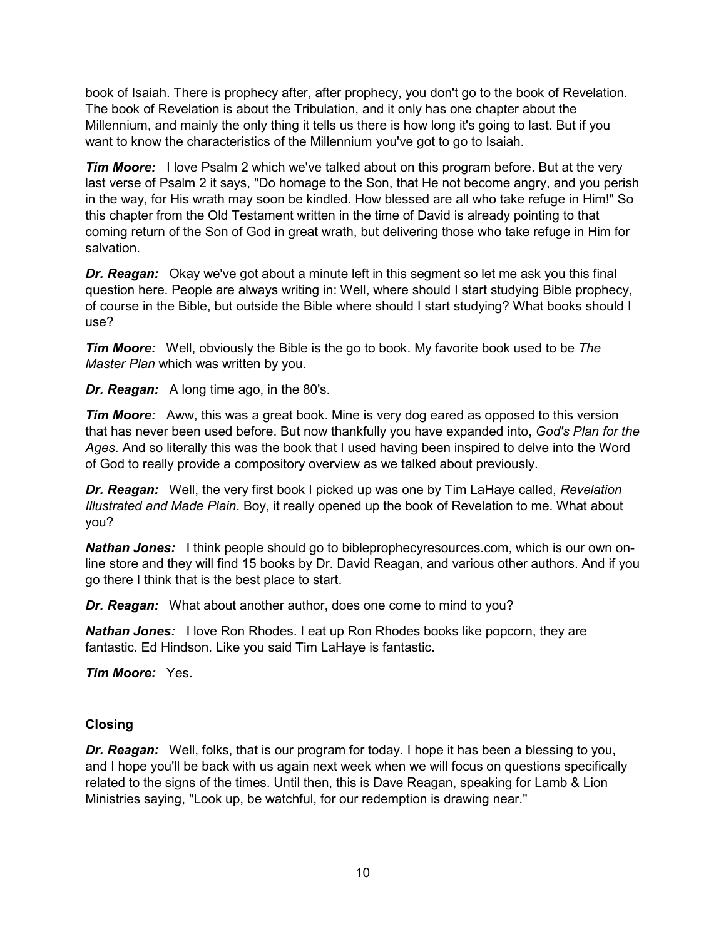book of Isaiah. There is prophecy after, after prophecy, you don't go to the book of Revelation. The book of Revelation is about the Tribulation, and it only has one chapter about the Millennium, and mainly the only thing it tells us there is how long it's going to last. But if you want to know the characteristics of the Millennium you've got to go to Isaiah.

*Tim Moore:* I love Psalm 2 which we've talked about on this program before. But at the very last verse of Psalm 2 it says, "Do homage to the Son, that He not become angry, and you perish in the way, for His wrath may soon be kindled. How blessed are all who take refuge in Him!" So this chapter from the Old Testament written in the time of David is already pointing to that coming return of the Son of God in great wrath, but delivering those who take refuge in Him for salvation.

*Dr. Reagan:* Okay we've got about a minute left in this segment so let me ask you this final question here. People are always writing in: Well, where should I start studying Bible prophecy, of course in the Bible, but outside the Bible where should I start studying? What books should I use?

*Tim Moore:* Well, obviously the Bible is the go to book. My favorite book used to be *The Master Plan* which was written by you.

*Dr. Reagan:* A long time ago, in the 80's.

*Tim Moore:* Aww, this was a great book. Mine is very dog eared as opposed to this version that has never been used before. But now thankfully you have expanded into, *God's Plan for the Ages*. And so literally this was the book that I used having been inspired to delve into the Word of God to really provide a compository overview as we talked about previously.

*Dr. Reagan:* Well, the very first book I picked up was one by Tim LaHaye called, *Revelation Illustrated and Made Plain*. Boy, it really opened up the book of Revelation to me. What about you?

*Nathan Jones:* I think people should go to bibleprophecyresources.com, which is our own online store and they will find 15 books by Dr. David Reagan, and various other authors. And if you go there I think that is the best place to start.

*Dr. Reagan:* What about another author, does one come to mind to you?

*Nathan Jones:* I love Ron Rhodes. I eat up Ron Rhodes books like popcorn, they are fantastic. Ed Hindson. Like you said Tim LaHaye is fantastic.

*Tim Moore:* Yes.

### **Closing**

*Dr. Reagan:* Well, folks, that is our program for today. I hope it has been a blessing to you, and I hope you'll be back with us again next week when we will focus on questions specifically related to the signs of the times. Until then, this is Dave Reagan, speaking for Lamb & Lion Ministries saying, "Look up, be watchful, for our redemption is drawing near."